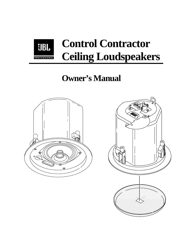

# **Owner's Manual**



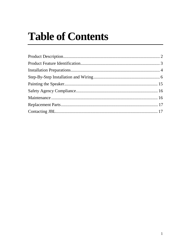# **Table of Contents**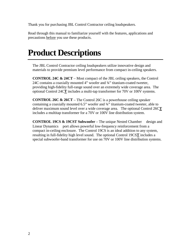Thank you for purchasing JBL Control Contractor ceiling loudspeakers.

Read through this manual to familiarize yourself with the features, applications and precautions before you use these products.

# **Product Descriptions**

The JBL Control Contractor ceiling loudspeakers utilize innovative design and materials to provide premium level performance from compact in-ceiling speakers.

**CONTROL 24C & 24CT** – Most compact of the JBL ceiling speakers, the Control 24C contains a coaxially mounted 4" woofer and ¾" titanium-coated tweeter, providing high-fidelity full-range sound over an extremely wide coverage area. The optional Control 24C**T** includes a multi-tap transformer for 70V or 100V systems.

**CONTROL 26C & 26CT** – The Control 26C is a powerhouse ceiling speaker containing a coaxially mounted 6.5" woofer and ¾" titanium-coated tweeter, able to deliver maximum sound level over a wide coverage area. The optional Control 26C**T** includes a multitap transformer for a 70V or 100V line distribution system.

**CONTROL 19CS & 19CST Subwoofer** – The unique Nested Chamber<sup>TM</sup> design and Linear Dynamics<sup>TM</sup> port allows powerful low-frequency reinforcement from a compact in-ceiling enclosure. The Control 19CS is an ideal addition to any system, resulting in full-fidelity high level sound. The optional Control 19CS**T** includes a special subwoofer-band transformer for use on 70V or 100V line distribution systems.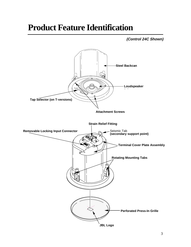## **Product Feature Identification**

**(Control 24C Shown)**

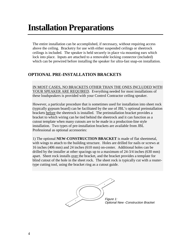## **Installation Preparations**

The entire installation can be accomplished, if necessary, without requiring access above the ceiling. Bracketry for use with either suspended ceilings or sheetrock ceilings is included. The speaker is held securely in place via mounting ears which lock into place. Inputs are attached to a removable locking connector (included) which can be prewired before installing the speaker for ultra-fast snap-on installation.

### **OPTIONAL PRE-INSTALLATION BRACKETS**

IN MOST CASES, NO BRACKETS OTHER THAN THE ONES INCLUDED WITH YOUR SPEAKER ARE REQUIRED. Everything needed for most installations of these loudspeakers is provided with your Control Contractor ceiling speaker.

However, a particular procedure that is sometimes used for installation into sheet rock (typically gypsum board) can be facilitated by the use of JBL's optional preinstallation brackets before the sheetrock is installed. The preinstallation bracket provides a bracket to which wiring can be tied behind the sheetrock and it can function as a cutout template when many cutouts are to be made in a production-line style installation. Two types of pre-installation brackets are available from JBL Professional as optional accessories:

1) The optional **NEW-CONSTRUCTION BRACKET** is made of flat sheetmetal, with wings to attach to the building structure. Holes are drilled for nails or screws at 16 inches (406 mm) and 24 inches (610 mm) on-center. Additional holes can be drilled by the installer at other spacings up to a maximum of 24-3/4 inches (630 mm) apart. Sheet rock installs over the bracket, and the bracket provides a template for blind cutout of the hole in the sheet rock. The sheet rock is typically cut with a routertype cutting tool, using the bracket ring as a cutout guide.

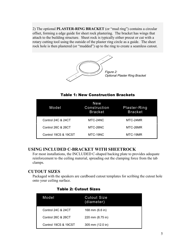2) The optional **PLASTER-RING BRACKET** (or "mud ring") contains a circular offset, forming a edge guide for sheet rock plastering. The bracket has wings that attach to the building structure. Sheet rock is typically either precut or cut with a rotary cutting tool using the outside of the plaster ring circle as a guide. The sheet rock hole is then plastered (or "mudded") up to the ring to create a seamless cutout.



### **Table 1: New Construction Brackets**

| Model                | New<br>Construction<br><b>Bracket</b> | Plaster-Ring<br><b>Bracket</b> |
|----------------------|---------------------------------------|--------------------------------|
| Control 24C & 24CT   | MTC-24NC                              | MTC-24MR                       |
| Control 26C & 26CT   | MTC-26NC                              | MTC-26MR                       |
| Control 19CS & 19CST | MTC-19NC                              | MTC-19MR                       |

### **USING INCLUDED C-BRACKET WITH SHEETROCK**

For most installations, the INCLUDED C-shaped backing plate to provides adequate reinforcement to the ceiling material, spreading out the clamping force from the tab clamps.

### **CUTOUT SIZES**

Packaged with the speakers are cardboard cutout templates for scribing the cutout hole onto your ceiling surface.

| Model                | <b>Cutout Size</b><br>(diameter) |
|----------------------|----------------------------------|
| Control 24C & 24CT   | 168 mm $(6.6 \text{ in})$        |
| Control 26C & 26CT   | 220 mm (8.75 in)                 |
| Control 19CS & 19CST | 305 mm (12.0 in)                 |

#### **Table 2: Cutout Sizes**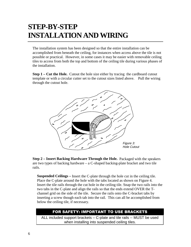## **STEP-BY-STEP INSTALLATION AND WIRING**

The installation system has been designed so that the entire installation can be accomplished from beneath the ceiling, for instances when access above the tile is not possible or practical. However, in some cases it may be easier with removable ceiling tiles to access from both the top and bottom of the ceiling tile during various phases of the installation.

**Step 1 – Cut the Hole.** Cutout the hole size either by tracing the cardboard cutout template or with a circular cutter set to the cutout sizes listed above. Pull the wiring through the cutout hole.



**Step 2 – Insert Backing Hardware Through the Hole.** Packaged with the speakers are two types of backing hardware – a C-shaped backing-plate bracket and two tile rails.

**Suspended Ceilings –** Insert the C-plate through the hole cut in the ceiling tile. Place the C-plate around the hole with the tabs located as shown on Figure 4. Insert the tile rails through the cut hole in the ceiling tile. Snap the two rails into the two tabs in the C-plate and align the rails so that the ends extend OVER the Tchannel grid on the side of the tile. Secure the rails onto the C-bracket tabs by inserting a screw though each tab into the rail. This can all be accomplished from below the ceiling tile, if necessary.

## FOR SAFETY: IMPORTANT TO USE BRACKETS

ALL included support brackets – C-plate and tile rails -- MUST be used when installing into suspended ceiling tiles.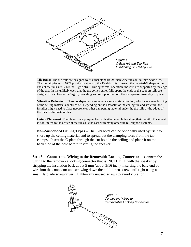

**Tile Rails:** The tile rails are designed to fit either standard 24-inch wide tiles or 600-mm wide tiles. The tile rail pieces do NOT physically attach to the T-grid struts. Instead, the inverted-V shape at the ends of the rails sit OVER the T-grid strut. During normal operation, the rails are supported by the edge of the tile. In the unlikely even that the tile comes out or falls apart, the ends of the support rails are designed to catch onto the T-grid, providing secure support to hold the loudspeaker assembly in place.

**Vibration Reduction:** These loudspeakers can generate substantial vibration, which can cause buzzing of the ceiling materials or structure. Depending on the character of the ceiling tile and structure, the installer might need to place neoprene or other dampening material under the tile rails or the edges of the tiles to eliminate rattles.

**Cutout Placement:** The tile rails are pre-punched with attachment holes along their length. Placement is not limited to the center of the tile as is the case with many other tile rail support systems.

**Non-Suspended Ceiling Types –** The C-bracket can be optionally used by itself to shore up the ceiling material and to spread out the clamping force from the tab clamps. Insert the C-plate through the cut hole in the ceiling and place it on the back side of the hole before inserting the speaker.

**Step 3 – Connect the Wiring to the Removable Locking Connector –** Connect the wiring to the removable locking connector that is INCLUDED with the speaker by stripping the insulation back about 5 mm (about 3/16 inch), inserting the bare end of wire into the connector and screwing down the hold-down screw until tight using a small flatblade screwdriver. Tighten any unused screws to avoid vibration.

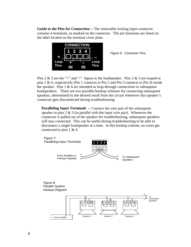**Guide to the Pins for Connection --** The removable locking input connector contains 4 terminals, as marked on the connector. The pin functions are listed on the label located on the terminal cover plate.



Figure 6: Connector Pins

Pins 2  $\&$  3 are the "+" and "-" inputs to the loudspeaker. Pins 2  $\&$  3 are looped to pins 1 & 4, respectively (Pin 1 connects to Pin 2 and Pin 3 connects to Pin 4) inside the speaker. Pins  $1 \& 4$  are intended as loop-through connections to subsequent loudspeakers. There are two possible hookup schemes for connecting subsequent speakers, determined by the desired result from the circuit whenever this speaker's connector gets disconnected during troubleshooting:

**Paralleling Input Terminals --** Connect the wire pair of the subsequent speaker to pins  $2 \& 3$  (in parallel with the input wire pair). Whenever the connector is pulled out of the speaker for troubleshooting, subsequent speakers will stay connected. This can be useful during troubleshooting to be able to disconnect a single loudspeaker at a time. In this hookup scheme, no wires get connected to pins 1 & 4.

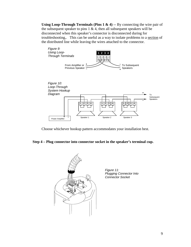**Using Loop-Through Terminals (Pins 1 & 4) -**- By connecting the wire pair of the subsequent speaker to pins  $1 \& 4$ , then all subsequent speakers will be disconnected when this speaker's connector is disconnected during for troubleshooting,. This can be useful as a way to isolate problems to a section of the distributed line while leaving the wires attached to the connector.



Choose whichever hookup pattern accommodates your installation best.

#### **Step 4 – Plug connector into connector socket in the speaker's terminal cup.**



Figure 11: Plugging Connector Into Connector Socket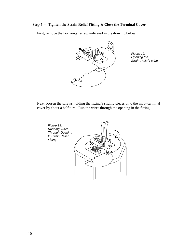#### **Step 5 – Tighten the Strain Relief Fitting & Close the Terminal Cover**

First, remove the horizontal screw indicated in the drawing below.



Figure 12: Opening the Strain-Relief Fitting

Next, loosen the screws holding the fitting's sliding pieces onto the input-terminal cover by about a half turn. Run the wires through the opening in the fitting.

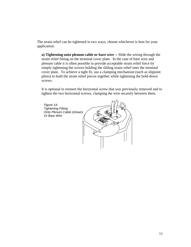The strain relief can be tightened in two ways, choose whichever is best for your application:

**a) Tightening onto plenum cable or bare wire --** Slide the wiring through the strain relief fitting on the terminal cover plate. In the case of bare wire and plenum cable it is often possible to provide acceptable strain relief force by simply tightening the screws holding the sliding strain relief onto the terminal cover plate. To achieve a tight fit, use a clamping mechanism (such as slipjoint pliers) to hold the strain relief pieces together while tightening the hold-down screws.

It is optional to reinsert the horizontal screw that was previously removed and to tighten the two horizontal screws, clamping the wire securely between them.

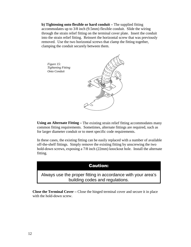**b) Tightening onto flexible or hard conduit –** The supplied fitting accommodates up to 3/8 inch (9.5mm) flexible conduit. Slide the wiring through the strain relief fitting on the terminal cover plate. Insert the conduit into the strain relief fitting. Reinsert the horizontal screw that was previously removed. Use the two horizontal screws that clamp the fitting together, clamping the conduit securely between them.



**Using an Alternate Fitting –** The existing strain relief fitting accommodates many common fitting requirements. Sometimes, alternate fittings are required, such as for larger diameter conduit or to meet specific code requirements.

In these cases, the existing fitting can be easily replaced with a number of available off-the-shelf fittings. Simply remove the existing fitting by unscrewing the two hold-down screws, exposing a 7/8 inch (22mm) knockout hole. Install the alternate fitting.

## **Caution:**

Always use the proper fitting in accordance with your area's building codes and regulations.

**Close the Terminal Cover –** Close the hinged terminal cover and secure it in place with the hold-down screw.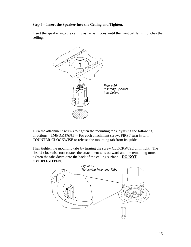#### **Step 6 – Insert the Speaker Into the Ceiling and Tighten**.

Insert the speaker into the ceiling as far as it goes, until the front baffle rim touches the ceiling.



Turn the attachment screws to tighten the mounting tabs, by using the following directions: **IMPORTANT** -- For each attachment screw, FIRST turn ½ turn COUNTER-CLOCKWISE to release the mounting tab from its guide.

Then tighten the mounting tabs by turning the screw CLOCKWISE until tight. The first ¼ clockwise turn rotates the attachment tabs outward and the remaining turns tighten the tabs down onto the back of the ceiling surface. **DO NOT OVERTIGHTEN***.*

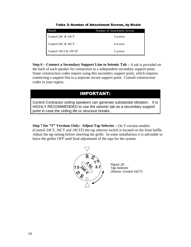| Model                 | Number of Attachment Screws |  |  |
|-----------------------|-----------------------------|--|--|
| Control 24C $\&$ 24CT | 3 screws                    |  |  |
| Control 26C $\&$ 26CT | 4 screws                    |  |  |
| Control 19CS & 19CST  | 5 screws                    |  |  |

Table 3: Number of Attachment Screws, by Model

**Step 6 – Connect a Secondary Support Line to Seismic Tab –** A tab is provided on the back of each speaker for connection to a independent secondary support point. Some construction codes require using this secondary support point, which requires connecting a support line to a separate secure support point. Consult construction codes in your region.

## **IMPORTANT:**

Control Contractor ceiling speakers can generate substantial vibration . It is HIGHLY RECOMMENDED to use the seismic tab as a secondary support point in case the ceiling tile or structure breaks.

**Step 7 for "T" Versions Only: Adjust Tap Selector –** On T-version models (Control 24CT, 26CT and 19CST) the tap selector switch is located on the front baffle. Adjust the tap setting before inserting the grille. In some installations it is advisable to leave the grilles OFF until final adjustment of the taps for the system.



Figure 18: Tap Selector (Shown: Control 24CT)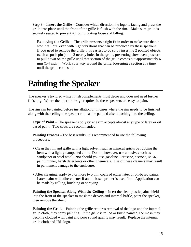**Step 8 – Insert the Grille –** Consider which direction the logo is facing and press the grille into place until the front of the grille is flush with the rim. Make sure grille is securely seated to prevent it from vibrating loose and falling.

**Removing the Grille --** The grille presents a tight fit in order to make sure that it won't fall out, even with high vibrations that can be produced by these speakers. If you need to remove the grille, it is easiest to do so by inserting 2 pointed objects (such as push pins) into 2 nearby holes in the grille, presenting slow even pressure to pull down on the grille until that section of the grille comes out approximately 6 mm (1/4 inch) . Work your way around the grille, loosening a section at a time until the grille comes out.

# **Painting the Speaker**

The speaker's textured white finish complements most decor and does not need further finishing. Where the interior design requires it, these speakers are easy to paint.

The rim can be painted before installation or in cases where the rim needs to be finished along with the ceiling, the speaker rim can be painted after attaching into the ceiling.

**Type of Paint –** The speaker's polystyrene rim accepts almost any type of latex or oil based paint. Two coats are recommended.

**Painting Process** – For best results, it is recommended to use the following proceedure:

- Clean the rim and grille with a light solvent such as mineral spirits by rubbing the item with a lightly dampened cloth. Do not, however, use abrasives such as sandpaper or steel wool. Nor should you use gasoline, kerosene, acetone, MEK, paint thinner, harsh detergents or other chemicals. Use of these cleaners may result in permanent damage to the enclosure.
- After cleaning, apply two or more two thin coats of either latex or oil-based paints. Latex paint will adhere better if an oil-based primer is used first. Application can be made by rolling, brushing or spraying.

**Painting the Speaker Along With the Ceiling –** Insert the clear plastic paint shield into the front of the speaker to mask the drivers and internal baffle, paint the speaker, then remove the shield.

**Painting the Grille** – Painting the grille requires removal of the logo and the internal grille cloth, they spray painting. If the grille is rolled or brush painted, the mesh may become clogged with paint and poor sound quality may result. Replace the internal grille cloth and JBL logo.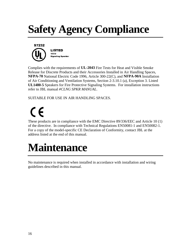# **Safety Agency Compliance**



Complies with the requirements of **UL-2043** Fire Tests for Heat and Visible Smoke Release for Discrete Products and their Accessories Installed in Air Handling Spaces, **NFPA-70** National Electric Code 1996, Article 300-22(C), and **NFPA-90A** Installation of Air Conditioning and Ventilation Systems, Section 2-3.10.1 (a), Exception 3. Listed **UL1480-5** Speakers for Fire Protective Signaling Systems. For installation instructions refer to JBL manual *#CLNG SPKR MANUAL*.

SUITABLE FOR USE IN AIR HANDLING SPACES.

 $\epsilon$ 

These products are in compliance with the EMC Directive 89/336/EEC and Article 10 (1) of the directive. In compliance with Technical Regulations EN50081-1 and EN50082-1. For a copy of the model-specific CE Declaration of Conformity, contact JBL at the address listed at the end of this manual.

# **Maintenance**

No maintenance is required when installed in accordance with installation and wiring guidelines described in this manual.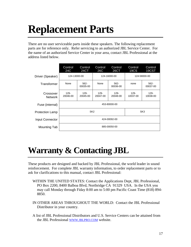# **Replacement Parts**

There are no user serviceable parts inside these speakers. The following replacement parts are for reference only. Refer servicing to an authorized JBL Service Center. For the name of an authorized Service Center in your area, contact JBL Professional at the address listed below.

|                             | Control<br>24C      | Control<br>24CT     | Control<br>26C      | Control<br>26CT     | Control<br>19CS     | Control<br>19CST    |
|-----------------------------|---------------------|---------------------|---------------------|---------------------|---------------------|---------------------|
| Driver (Speaker)            | 124-13000-00        |                     | 124-16000-00        |                     | 124-58000-00        |                     |
| Transformer                 | None                | $562 -$<br>00035-00 | None                | $562 -$<br>00036-00 | none                | $562 -$<br>00037-00 |
| Crossover<br><b>Network</b> | $129 -$<br>20046-00 | $129 -$<br>20045-00 | $129 -$<br>20047-00 | $129 -$<br>20048-00 | $129 -$<br>10037-00 | $129 -$<br>10038-00 |
| Fuse (internal)             | 453-80000-00        |                     |                     |                     |                     |                     |
| <b>Protection Lamp</b>      | SK <sub>2</sub>     |                     |                     |                     | SK <sub>3</sub>     |                     |
| Input Connector             | 424-00092-00        |                     |                     |                     |                     |                     |
| Mounting Tab                | 885-00050-00        |                     |                     |                     |                     |                     |

# **Warranty & Contacting JBL**

These products are designed and backed by JBL Professional, the world leader in sound reinforcement. For complete JBL warranty information, to order replacement parts or to ask for clarifications to this manual, contact JBL Professional:

- WITHIN THE UNITED STATES: Contact the Applications Dept, JBL Professional, PO Box 2200, 8400 Balboa Blvd, Northridge CA 91329 USA. In the USA you may call Monday through Fiday 8:00 am to 5:00 pm Pacific Coast Time (818) 894- 8850.
- IN OTHER AREAS THROUGHOUT THE WORLD: Contact the JBL Professional Distributor in your country.
- A list of JBL Professional Distributors and U.S. Service Centers can be attained from the JBL Professional WWW.JBLPRO.COM website.